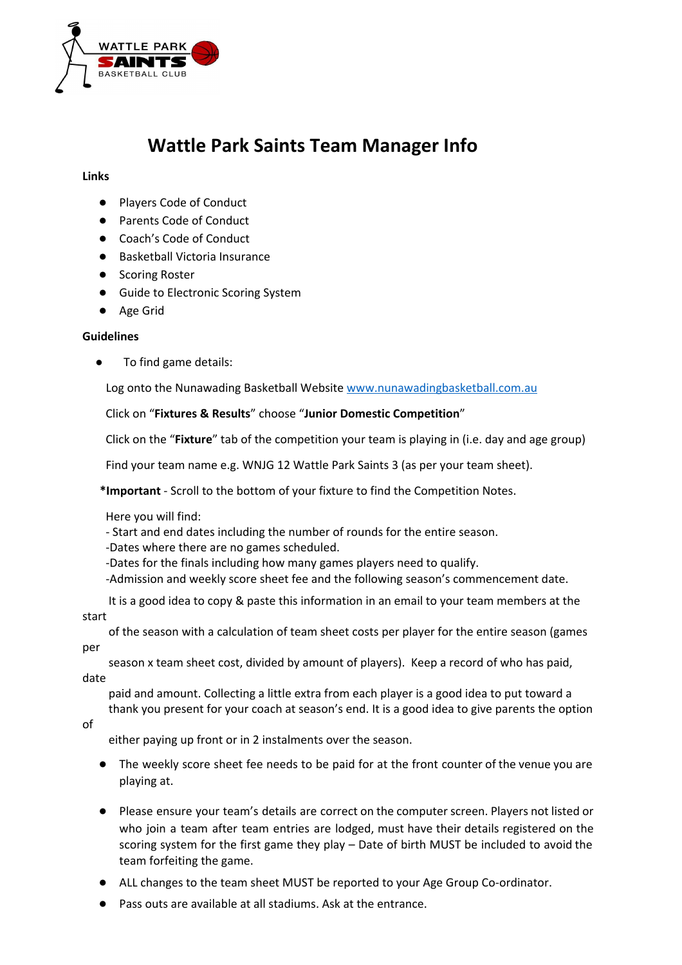

## **Wattle Park Saints Team Manager Info**

## **Links**

- Players Code of Conduct
- Parents Code of Conduct
- Coach's Code of Conduct
- Basketball Victoria Insurance
- Scoring Roster
- Guide to Electronic Scoring System
- Age Grid

## **Guidelines**

To find game details:

Log onto the Nunawading Basketball Website [www.nunawadingbasketball.com.au](http://www.nunawadingbasketball.com.au/)

## Click on "**Fixtures & Results**" choose "**Junior Domestic Competition**"

Click on the "**Fixture**" tab of the competition your team is playing in (i.e. day and age group)

Find your team name e.g. WNJG 12 Wattle Park Saints 3 (as per your team sheet).

\*Important - Scroll to the bottom of your fixture to find the Competition Notes.

Here you will find:

Start and end dates including the number of rounds for the entire season.

Dates where there are no games scheduled.

Dates for the finals including how many games players need to qualify.

Admission and weekly score sheet fee and the following season's commencement date.

It is a good idea to copy & paste this information in an email to your team members at the start

of the season with a calculation of team sheet costs per player for the entire season (games per

season x team sheet cost, divided by amount of players). Keep a record of who has paid, date

paid and amount. Collecting a little extra from each player is a good idea to put toward a thank you present for your coach at season's end. It is a good idea to give parents the option

of

either paying up front or in 2 instalments over the season.

- The weekly score sheet fee needs to be paid for at the front counter of the venue you are playing at.
- Please ensure your team's details are correct on the computer screen. Players not listed or who join a team after team entries are lodged, must have their details registered on the scoring system for the first game they play – Date of birth MUST be included to avoid the team forfeiting the game.
- ALL changes to the team sheet MUST be reported to your Age Group Co-ordinator.
- Pass outs are available at all stadiums. Ask at the entrance.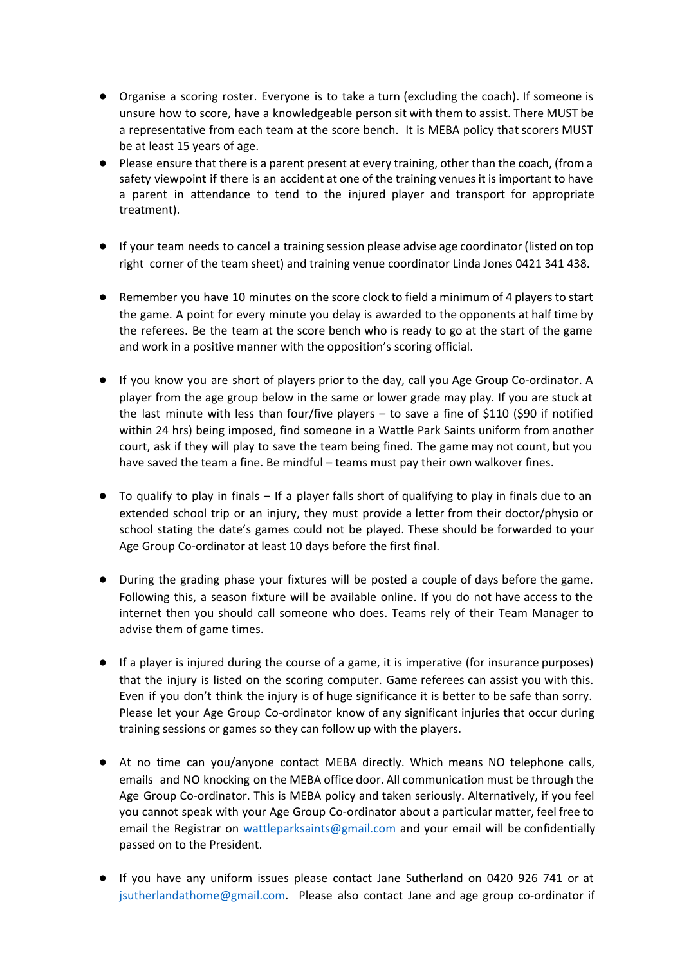- Organise a scoring roster. Everyone is to take a turn (excluding the coach). If someone is unsure how to score, have a knowledgeable person sit with them to assist. There MUST be a representative from each team at the score bench. It is MEBA policy that scorers MUST be at least 15 years of age.
- Please ensure that there is a parent present at every training, other than the coach, (from a safety viewpoint if there is an accident at one of the training venues it is important to have a parent in attendance to tend to the injured player and transport for appropriate treatment).
- If your team needs to cancel a training session please advise age coordinator (listed on top right corner of the team sheet) and training venue coordinator Linda Jones 0421 341 438.
- Remember you have 10 minutes on the score clock to field a minimum of 4 players to start the game. A point for every minute you delay is awarded to the opponents at half time by the referees. Be the team at the score bench who is ready to go at the start of the game and work in a positive manner with the opposition's scoring official.
- If you know you are short of players prior to the day, call you Age Group Co-ordinator. A player from the age group below in the same or lower grade may play. If you are stuck at the last minute with less than four/five players – to save a fine of \$110 (\$90 if notified within 24 hrs) being imposed, find someone in a Wattle Park Saints uniform from another court, ask if they will play to save the team being fined. The game may not count, but you have saved the team a fine. Be mindful - teams must pay their own walkover fines.
- To qualify to play in finals If a player falls short of qualifying to play in finals due to an extended school trip or an injury, they must provide a letter from their doctor/physio or school stating the date's games could not be played. These should be forwarded to your Age Group Co-ordinator at least 10 days before the first final.
- During the grading phase your fixtures will be posted a couple of days before the game. Following this, a season fixture will be available online. If you do not have access to the internet then you should call someone who does. Teams rely of their Team Manager to advise them of game times.
- If a player is injured during the course of a game, it is imperative (for insurance purposes) that the injury is listed on the scoring computer. Game referees can assist you with this. Even if you don't think the injury is of huge significance it is better to be safe than sorry. Please let your Age Group Co-ordinator know of any significant injuries that occur during training sessions or games so they can follow up with the players.
- At no time can you/anyone contact MEBA directly. Which means NO telephone calls, emails and NO knocking on the MEBA office door. All communication must be through the Age Group Co-ordinator. This is MEBA policy and taken seriously. Alternatively, if you feel you cannot speak with your Age Group Co-ordinator about a particular matter, feel free to email the Registrar on [wattleparksaints@gmail.com](mailto:wattleparksaints@gmail.com) and your email will be confidentially passed on to the President.
- If you have any uniform issues please contact Jane Sutherland on 0420 926 741 or at [jsutherlandathome@gmail.com.](mailto:jsutherlandathome@gmail.com) Please also contact Jane and age group co-ordinator if